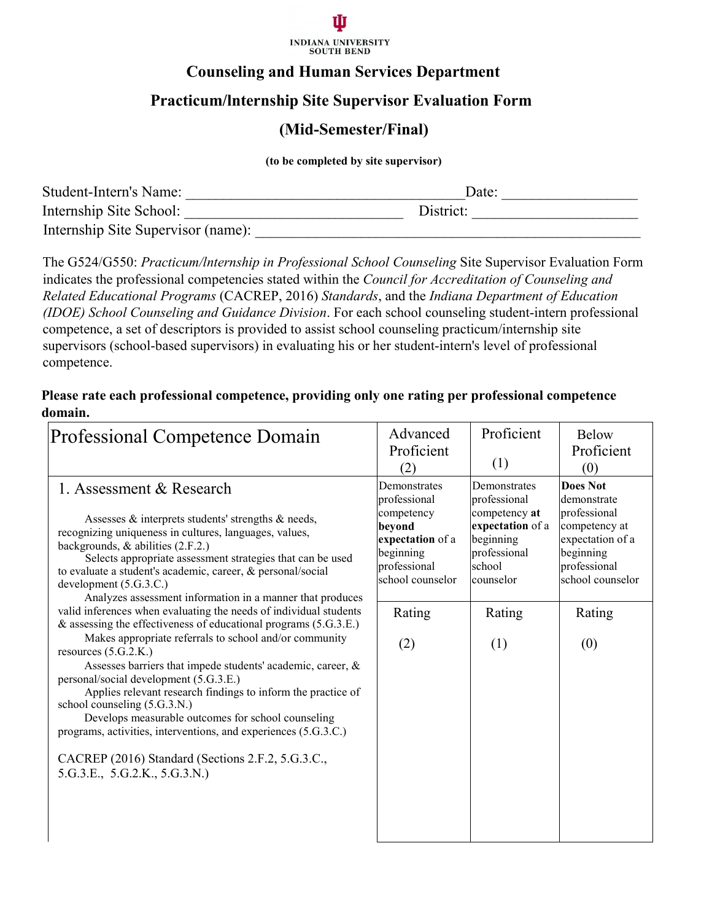

### **Counseling and Human Services Department**

## **Practicum/lnternship Site Supervisor Evaluation Form**

#### **(Mid-Semester/Final)**

**(to be completed by site supervisor)**

| Student-Intern's Name:             | Date:     |
|------------------------------------|-----------|
| Internship Site School:            | District: |
| Internship Site Supervisor (name): |           |

The G524/G550: *Practicum/lnternship in Professional School Counseling* Site Supervisor Evaluation Form indicates the professional competencies stated within the *Council for Accreditation of Counseling and Related Educational Programs* (CACREP, 2016) *Standards*, and the *Indiana Department of Education (IDOE) School Counseling and Guidance Division*. For each school counseling student-intern professional competence, a set of descriptors is provided to assist school counseling practicum/internship site supervisors (school-based supervisors) in evaluating his or her student-intern's level of professional competence.

**Please rate each professional competence, providing only one rating per professional competence domain.**

| Professional Competence Domain                                                                                                                                                                                                                                                                                                                                                                                                                                                                                                                                                                                                                                                                                                                                                                                                                                                                                                                                                                                                                                   | Advanced<br>Proficient<br>(2)                                                                                                    | Proficient<br>(1)                                                                                                                      | <b>Below</b><br>Proficient<br>(0)                                                                                                              |
|------------------------------------------------------------------------------------------------------------------------------------------------------------------------------------------------------------------------------------------------------------------------------------------------------------------------------------------------------------------------------------------------------------------------------------------------------------------------------------------------------------------------------------------------------------------------------------------------------------------------------------------------------------------------------------------------------------------------------------------------------------------------------------------------------------------------------------------------------------------------------------------------------------------------------------------------------------------------------------------------------------------------------------------------------------------|----------------------------------------------------------------------------------------------------------------------------------|----------------------------------------------------------------------------------------------------------------------------------------|------------------------------------------------------------------------------------------------------------------------------------------------|
| 1. Assessment & Research<br>Assesses & interprets students' strengths & needs,<br>beyond<br>recognizing uniqueness in cultures, languages, values,<br>backgrounds, & abilities (2.F.2.)<br>Selects appropriate assessment strategies that can be used<br>to evaluate a student's academic, career, & personal/social<br>development (5.G.3.C.)<br>Analyzes assessment information in a manner that produces<br>valid inferences when evaluating the needs of individual students<br>& assessing the effectiveness of educational programs (5.G.3.E.)<br>Makes appropriate referrals to school and/or community<br>resources $(5.G.2.K.)$<br>Assesses barriers that impede students' academic, career, &<br>personal/social development (5.G.3.E.)<br>Applies relevant research findings to inform the practice of<br>school counseling (5.G.3.N.)<br>Develops measurable outcomes for school counseling<br>programs, activities, interventions, and experiences (5.G.3.C.)<br>CACREP (2016) Standard (Sections 2.F.2, 5.G.3.C.,<br>5.G.3.E., 5.G.2.K., 5.G.3.N.) | Demonstrates<br>professional<br>competency<br>expectation of a<br>beginning<br>professional<br>school counselor<br>Rating<br>(2) | Demonstrates<br>professional<br>competency at<br>expectation of a<br>beginning<br>professional<br>school<br>counselor<br>Rating<br>(1) | Does Not<br>demonstrate<br>professional<br>competency at<br>expectation of a<br>beginning<br>professional<br>school counselor<br>Rating<br>(0) |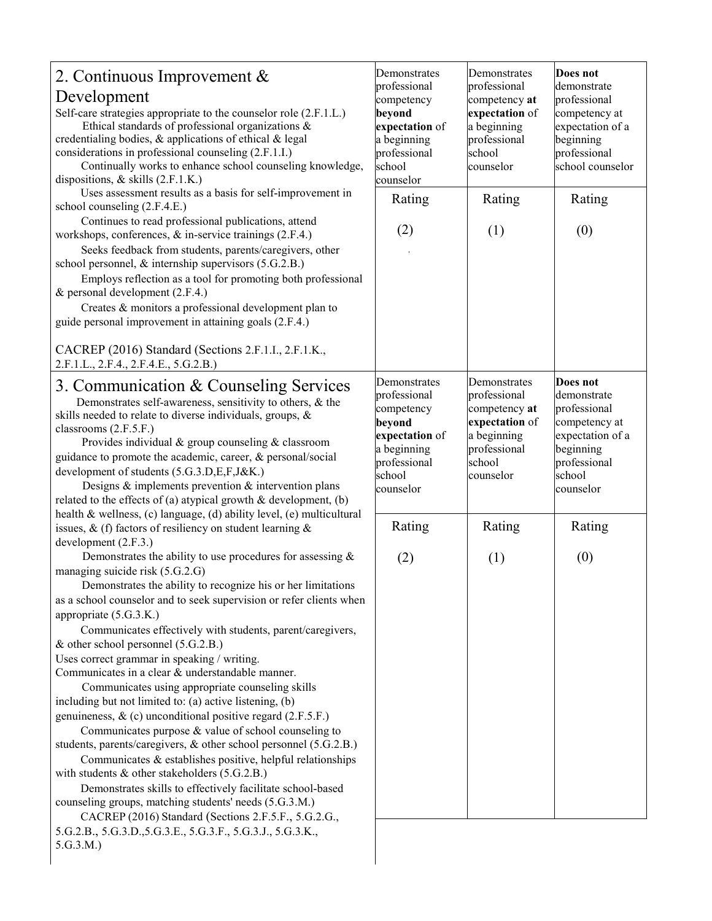| 2. Continuous Improvement &<br>Development<br>Self-care strategies appropriate to the counselor role (2.F.1.L.)<br>Ethical standards of professional organizations &<br>credentialing bodies, & applications of ethical & legal<br>considerations in professional counseling (2.F.1.I.)<br>Continually works to enhance school counseling knowledge,<br>dispositions, $&$ skills (2.F.1.K.)<br>Uses assessment results as a basis for self-improvement in                                                                                                                                                                                                                                                                                                                                                                                                                                                                                                                                                                                                                                                                                              | Demonstrates<br>professional<br>competency<br>beyond<br>expectation of<br>a beginning<br>professional<br>school<br>counselor | Demonstrates<br>professional<br>competency at<br>expectation of<br>a beginning<br>professional<br>school<br>counselor | Does not<br>demonstrate<br>professional<br>competency at<br>expectation of a<br>beginning<br>professional<br>school counselor    |
|--------------------------------------------------------------------------------------------------------------------------------------------------------------------------------------------------------------------------------------------------------------------------------------------------------------------------------------------------------------------------------------------------------------------------------------------------------------------------------------------------------------------------------------------------------------------------------------------------------------------------------------------------------------------------------------------------------------------------------------------------------------------------------------------------------------------------------------------------------------------------------------------------------------------------------------------------------------------------------------------------------------------------------------------------------------------------------------------------------------------------------------------------------|------------------------------------------------------------------------------------------------------------------------------|-----------------------------------------------------------------------------------------------------------------------|----------------------------------------------------------------------------------------------------------------------------------|
| school counseling (2.F.4.E.)                                                                                                                                                                                                                                                                                                                                                                                                                                                                                                                                                                                                                                                                                                                                                                                                                                                                                                                                                                                                                                                                                                                           | Rating                                                                                                                       | Rating                                                                                                                | Rating                                                                                                                           |
| Continues to read professional publications, attend<br>workshops, conferences, & in-service trainings (2.F.4.)<br>Seeks feedback from students, parents/caregivers, other<br>school personnel, & internship supervisors (5.G.2.B.)<br>Employs reflection as a tool for promoting both professional<br>& personal development (2.F.4.)<br>Creates & monitors a professional development plan to<br>guide personal improvement in attaining goals (2.F.4.)                                                                                                                                                                                                                                                                                                                                                                                                                                                                                                                                                                                                                                                                                               | (2)                                                                                                                          | (1)                                                                                                                   | (0)                                                                                                                              |
| CACREP (2016) Standard (Sections 2.F.1.I., 2.F.1.K.,<br>2.F.1.L., 2.F.4., 2.F.4.E., 5.G.2.B.)                                                                                                                                                                                                                                                                                                                                                                                                                                                                                                                                                                                                                                                                                                                                                                                                                                                                                                                                                                                                                                                          |                                                                                                                              |                                                                                                                       |                                                                                                                                  |
| 3. Communication & Counseling Services<br>Demonstrates self-awareness, sensitivity to others, & the<br>skills needed to relate to diverse individuals, groups, &<br>classrooms (2.F.5.F.)<br>Provides individual & group counseling & classroom<br>guidance to promote the academic, career, & personal/social<br>development of students (5.G.3.D,E,F,J&K.)<br>Designs $\&$ implements prevention $\&$ intervention plans<br>related to the effects of (a) atypical growth $\&$ development, (b)                                                                                                                                                                                                                                                                                                                                                                                                                                                                                                                                                                                                                                                      | Demonstrates<br>professional<br>competency<br>beyond<br>expectation of<br>a beginning<br>professional<br>school<br>counselor | Demonstrates<br>professional<br>competency at<br>expectation of<br>a beginning<br>professional<br>school<br>counselor | Does not<br>demonstrate<br>professional<br>competency at<br>expectation of a<br>beginning<br>professional<br>school<br>counselor |
| health & wellness, (c) language, (d) ability level, (e) multicultural<br>issues, & (f) factors of resiliency on student learning $\&$<br>development (2.F.3.)                                                                                                                                                                                                                                                                                                                                                                                                                                                                                                                                                                                                                                                                                                                                                                                                                                                                                                                                                                                          | Rating                                                                                                                       | Rating                                                                                                                | Rating                                                                                                                           |
| Demonstrates the ability to use procedures for assessing $\&$<br>managing suicide risk (5.G.2.G)<br>Demonstrates the ability to recognize his or her limitations<br>as a school counselor and to seek supervision or refer clients when<br>appropriate (5.G.3.K.)<br>Communicates effectively with students, parent/caregivers,<br>& other school personnel (5.G.2.B.)<br>Uses correct grammar in speaking / writing.<br>Communicates in a clear & understandable manner.<br>Communicates using appropriate counseling skills<br>including but not limited to: (a) active listening, (b)<br>genuineness, & (c) unconditional positive regard (2.F.5.F.)<br>Communicates purpose $&$ value of school counseling to<br>students, parents/caregivers, & other school personnel (5.G.2.B.)<br>Communicates & establishes positive, helpful relationships<br>with students $&$ other stakeholders (5.G.2.B.)<br>Demonstrates skills to effectively facilitate school-based<br>counseling groups, matching students' needs (5.G.3.M.)<br>CACREP (2016) Standard (Sections 2.F.5.F., 5.G.2.G.,<br>5.G.2.B., 5.G.3.D., 5.G.3.E., 5.G.3.F., 5.G.3.J., 5.G.3.K., | (2)                                                                                                                          | (1)                                                                                                                   | (0)                                                                                                                              |
| 5.G.3.M.)                                                                                                                                                                                                                                                                                                                                                                                                                                                                                                                                                                                                                                                                                                                                                                                                                                                                                                                                                                                                                                                                                                                                              |                                                                                                                              |                                                                                                                       |                                                                                                                                  |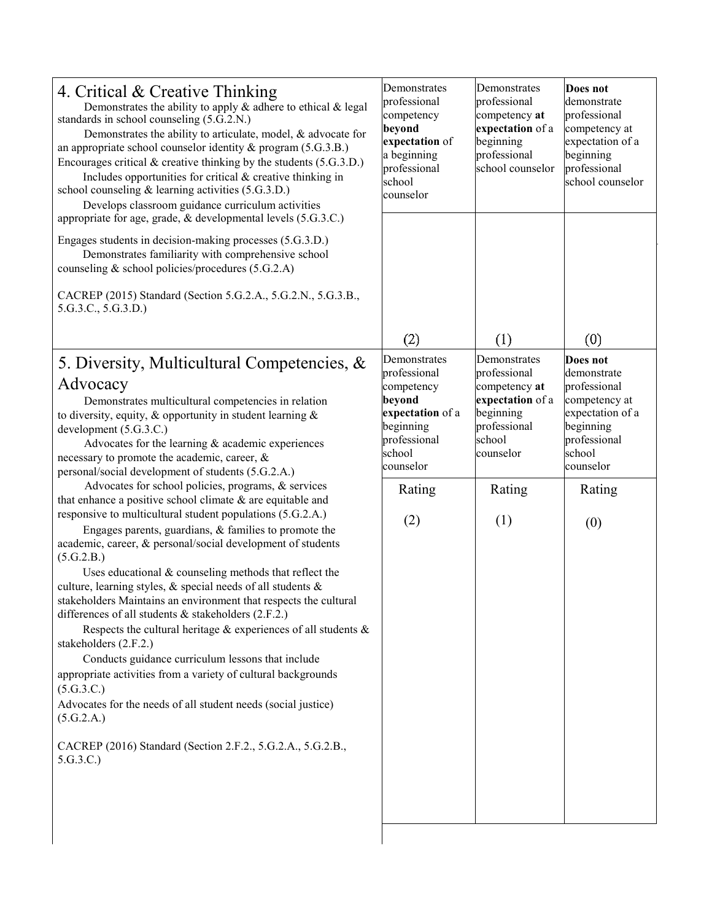| 4. Critical & Creative Thinking<br>Demonstrates the ability to apply $\&$ adhere to ethical $\&$ legal<br>standards in school counseling (5.G.2.N.)<br>Demonstrates the ability to articulate, model, & advocate for<br>an appropriate school counselor identity & program (5.G.3.B.)<br>Encourages critical $&$ creative thinking by the students (5.G.3.D.)<br>Includes opportunities for critical & creative thinking in<br>school counseling & learning activities (5.G.3.D.)<br>Develops classroom guidance curriculum activities<br>appropriate for age, grade, & developmental levels (5.G.3.C.)<br>Engages students in decision-making processes (5.G.3.D.)<br>Demonstrates familiarity with comprehensive school<br>counseling & school policies/procedures (5.G.2.A)<br>CACREP (2015) Standard (Section 5.G.2.A., 5.G.2.N., 5.G.3.B.,                                                                                                                                                                                                                                                                                                                                                                                                                                                                                                          | Demonstrates<br>professional<br>competency<br>beyond<br>expectation of<br>a beginning<br>professional<br>school<br>counselor                         | Demonstrates<br>professional<br>competency at<br>expectation of a<br>beginning<br>professional<br>school counselor                            | Does not<br>demonstrate<br>professional<br>competency at<br>expectation of a<br>beginning<br>professional<br>school counselor                            |
|----------------------------------------------------------------------------------------------------------------------------------------------------------------------------------------------------------------------------------------------------------------------------------------------------------------------------------------------------------------------------------------------------------------------------------------------------------------------------------------------------------------------------------------------------------------------------------------------------------------------------------------------------------------------------------------------------------------------------------------------------------------------------------------------------------------------------------------------------------------------------------------------------------------------------------------------------------------------------------------------------------------------------------------------------------------------------------------------------------------------------------------------------------------------------------------------------------------------------------------------------------------------------------------------------------------------------------------------------------|------------------------------------------------------------------------------------------------------------------------------------------------------|-----------------------------------------------------------------------------------------------------------------------------------------------|----------------------------------------------------------------------------------------------------------------------------------------------------------|
| 5.G.3.C., 5.G.3.D.)                                                                                                                                                                                                                                                                                                                                                                                                                                                                                                                                                                                                                                                                                                                                                                                                                                                                                                                                                                                                                                                                                                                                                                                                                                                                                                                                      |                                                                                                                                                      |                                                                                                                                               |                                                                                                                                                          |
| 5. Diversity, Multicultural Competencies, &<br>Advocacy<br>Demonstrates multicultural competencies in relation<br>to diversity, equity, & opportunity in student learning $\&$<br>development (5.G.3.C.)<br>Advocates for the learning $&$ academic experiences<br>necessary to promote the academic, career, &<br>personal/social development of students (5.G.2.A.)<br>Advocates for school policies, programs, & services<br>that enhance a positive school climate $&$ are equitable and<br>responsive to multicultural student populations (5.G.2.A.)<br>Engages parents, guardians, $&$ families to promote the<br>academic, career, & personal/social development of students<br>(5.G.2.B.)<br>Uses educational $&$ counseling methods that reflect the<br>culture, learning styles, & special needs of all students &<br>stakeholders Maintains an environment that respects the cultural<br>differences of all students & stakeholders (2.F.2.)<br>Respects the cultural heritage $\&$ experiences of all students $\&$<br>stakeholders (2.F.2.)<br>Conducts guidance curriculum lessons that include<br>appropriate activities from a variety of cultural backgrounds<br>(5.G.3.C.)<br>Advocates for the needs of all student needs (social justice)<br>(5.G.2.A.)<br>CACREP (2016) Standard (Section 2.F.2., 5.G.2.A., 5.G.2.B.,<br>5.G.3.C.) | (2)<br>Demonstrates<br>professional<br>competency<br>beyond<br>expectation of a<br>beginning<br>professional<br>school<br>counselor<br>Rating<br>(2) | (1)<br>Demonstrates<br>professional<br>competency at<br>expectation of a<br>beginning<br>professional<br>school<br>counselor<br>Rating<br>(1) | (0)<br>Does not<br>demonstrate<br>professional<br>competency at<br>expectation of a<br>beginning<br>professional<br>school<br>counselor<br>Rating<br>(0) |
|                                                                                                                                                                                                                                                                                                                                                                                                                                                                                                                                                                                                                                                                                                                                                                                                                                                                                                                                                                                                                                                                                                                                                                                                                                                                                                                                                          |                                                                                                                                                      |                                                                                                                                               |                                                                                                                                                          |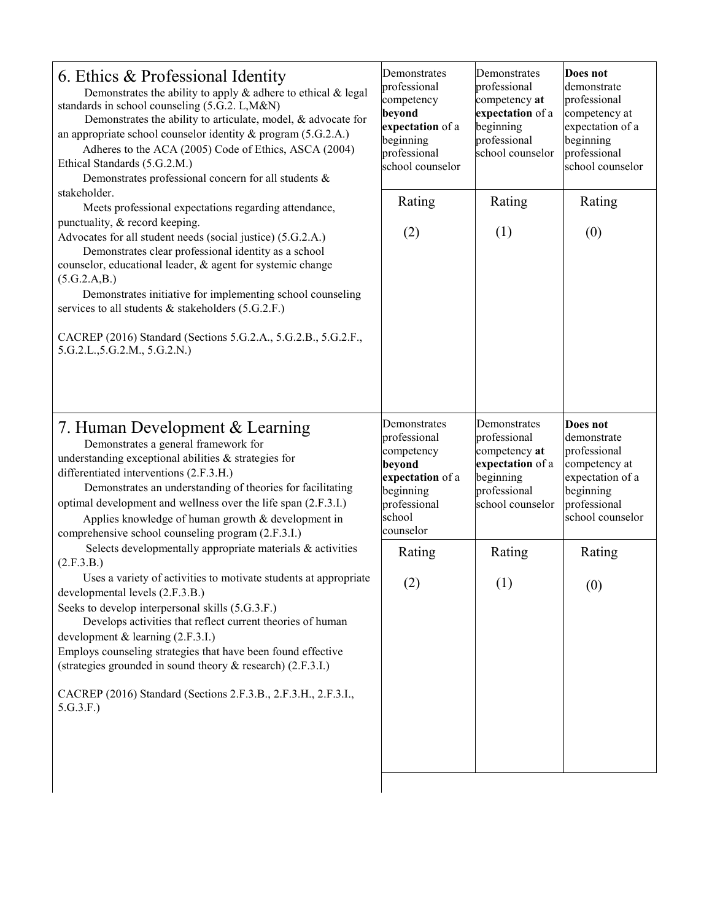| 6. Ethics & Professional Identity<br>Demonstrates the ability to apply $\&$ adhere to ethical $\&$ legal<br>standards in school counseling (5.G.2. L,M&N)<br>Demonstrates the ability to articulate, model, & advocate for<br>an appropriate school counselor identity & program (5.G.2.A.)<br>Adheres to the ACA (2005) Code of Ethics, ASCA (2004)<br>Ethical Standards (5.G.2.M.)<br>Demonstrates professional concern for all students &<br>stakeholder.                                                                                                                                                 | Demonstrates<br>professional<br>competency<br>beyond<br>expectation of a<br>beginning<br>professional<br>school counselor    | Demonstrates<br>professional<br>competency at<br>expectation of a<br>beginning<br>professional<br>school counselor | Does not<br>demonstrate<br>professional<br>competency at<br>expectation of a<br>beginning<br>professional<br>school counselor |
|--------------------------------------------------------------------------------------------------------------------------------------------------------------------------------------------------------------------------------------------------------------------------------------------------------------------------------------------------------------------------------------------------------------------------------------------------------------------------------------------------------------------------------------------------------------------------------------------------------------|------------------------------------------------------------------------------------------------------------------------------|--------------------------------------------------------------------------------------------------------------------|-------------------------------------------------------------------------------------------------------------------------------|
| Meets professional expectations regarding attendance,<br>punctuality, & record keeping.<br>Advocates for all student needs (social justice) (5.G.2.A.)<br>Demonstrates clear professional identity as a school<br>counselor, educational leader, & agent for systemic change<br>(5.G.2.A.B.)<br>Demonstrates initiative for implementing school counseling<br>services to all students & stakeholders (5.G.2.F.)<br>CACREP (2016) Standard (Sections 5.G.2.A., 5.G.2.B., 5.G.2.F.,<br>5.G.2.L., 5.G.2.M., 5.G.2.N.)                                                                                          | Rating<br>(2)                                                                                                                | Rating<br>(1)                                                                                                      | Rating<br>(0)                                                                                                                 |
| 7. Human Development & Learning<br>Demonstrates a general framework for<br>understanding exceptional abilities & strategies for<br>differentiated interventions (2.F.3.H.)<br>Demonstrates an understanding of theories for facilitating<br>optimal development and wellness over the life span (2.F.3.I.)<br>Applies knowledge of human growth & development in                                                                                                                                                                                                                                             | Demonstrates<br>professional<br>competency<br>beyond<br>expectation of a<br>beginning<br>professional<br>school<br>counselor | Demonstrates<br>professional<br>competency at<br>expectation of a<br>beginning<br>professional<br>school counselor | Does not<br>demonstrate<br>professional<br>competency at<br>expectation of a<br>beginning<br>professional<br>school counselor |
| comprehensive school counseling program (2.F.3.I.)<br>Selects developmentally appropriate materials & activities<br>(2.F.3.B.)<br>Uses a variety of activities to motivate students at appropriate<br>developmental levels (2.F.3.B.)<br>Seeks to develop interpersonal skills (5.G.3.F.)<br>Develops activities that reflect current theories of human<br>development $&$ learning (2.F.3.I.)<br>Employs counseling strategies that have been found effective<br>(strategies grounded in sound theory & research) (2.F.3.I.)<br>CACREP (2016) Standard (Sections 2.F.3.B., 2.F.3.H., 2.F.3.I.,<br>5.G.3.F.) | Rating<br>(2)                                                                                                                | Rating<br>(1)                                                                                                      | Rating<br>(0)                                                                                                                 |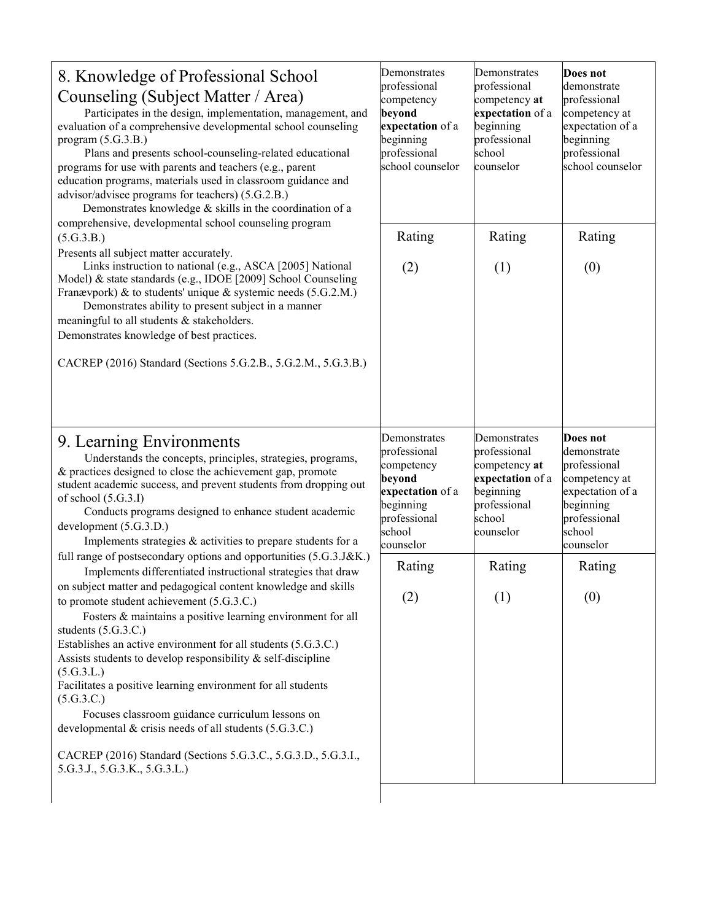| 8. Knowledge of Professional School<br>Counseling (Subject Matter / Area)<br>Participates in the design, implementation, management, and<br>evaluation of a comprehensive developmental school counseling<br>program $(5.G.3.B.)$<br>Plans and presents school-counseling-related educational<br>programs for use with parents and teachers (e.g., parent<br>education programs, materials used in classroom guidance and<br>advisor/advisee programs for teachers) (5.G.2.B.)<br>Demonstrates knowledge & skills in the coordination of a                                                                                                                                      | Demonstrates<br>professional<br>competency<br>beyond<br>expectation of a<br>beginning<br>professional<br>school counselor    | Demonstrates<br>professional<br>competency at<br>expectation of a<br>beginning<br>professional<br>school<br>counselor | Does not<br>demonstrate<br>professional<br>competency at<br>expectation of a<br>beginning<br>professional<br>school counselor    |
|---------------------------------------------------------------------------------------------------------------------------------------------------------------------------------------------------------------------------------------------------------------------------------------------------------------------------------------------------------------------------------------------------------------------------------------------------------------------------------------------------------------------------------------------------------------------------------------------------------------------------------------------------------------------------------|------------------------------------------------------------------------------------------------------------------------------|-----------------------------------------------------------------------------------------------------------------------|----------------------------------------------------------------------------------------------------------------------------------|
| comprehensive, developmental school counseling program<br>(5.G.3.B.)                                                                                                                                                                                                                                                                                                                                                                                                                                                                                                                                                                                                            | Rating                                                                                                                       | Rating                                                                                                                | Rating                                                                                                                           |
| Presents all subject matter accurately.<br>Links instruction to national (e.g., ASCA [2005] National<br>Model) & state standards (e.g., IDOE [2009] School Counseling<br>Franævpork) & to students' unique & systemic needs (5.G.2.M.)<br>Demonstrates ability to present subject in a manner<br>meaningful to all students & stakeholders.<br>Demonstrates knowledge of best practices.<br>CACREP (2016) Standard (Sections 5.G.2.B., 5.G.2.M., 5.G.3.B.)                                                                                                                                                                                                                      | (2)                                                                                                                          | (1)                                                                                                                   | (0)                                                                                                                              |
|                                                                                                                                                                                                                                                                                                                                                                                                                                                                                                                                                                                                                                                                                 |                                                                                                                              |                                                                                                                       |                                                                                                                                  |
| 9. Learning Environments<br>Understands the concepts, principles, strategies, programs,<br>& practices designed to close the achievement gap, promote<br>student academic success, and prevent students from dropping out<br>of school $(5.G.3.I)$<br>Conducts programs designed to enhance student academic<br>development (5.G.3.D.)<br>Implements strategies $&$ activities to prepare students for a                                                                                                                                                                                                                                                                        | Demonstrates<br>professional<br>competency<br>beyond<br>expectation of a<br>beginning<br>professional<br>school<br>counselor | Demonstrates<br>professional<br>competency at<br>expectation of a<br>beginning<br>professional<br>school<br>counselor | Does not<br>demonstrate<br>professional<br>competency at<br>expectation of a<br>beginning<br>professional<br>school<br>counselor |
| full range of postsecondary options and opportunities (5.G.3.J&K.)                                                                                                                                                                                                                                                                                                                                                                                                                                                                                                                                                                                                              | Rating                                                                                                                       | Rating                                                                                                                | Rating                                                                                                                           |
| Implements differentiated instructional strategies that draw<br>on subject matter and pedagogical content knowledge and skills<br>to promote student achievement (5.G.3.C.)<br>Fosters & maintains a positive learning environment for all<br>students (5.G.3.C.)<br>Establishes an active environment for all students (5.G.3.C.)<br>Assists students to develop responsibility & self-discipline<br>(5.G.3.L.)<br>Facilitates a positive learning environment for all students<br>(5.G.3.C.)<br>Focuses classroom guidance curriculum lessons on<br>developmental & crisis needs of all students (5.G.3.C.)<br>CACREP (2016) Standard (Sections 5.G.3.C., 5.G.3.D., 5.G.3.I., | (2)                                                                                                                          | (1)                                                                                                                   | (0)                                                                                                                              |
| 5.G.3.J., 5.G.3.K., 5.G.3.L.)                                                                                                                                                                                                                                                                                                                                                                                                                                                                                                                                                                                                                                                   |                                                                                                                              |                                                                                                                       |                                                                                                                                  |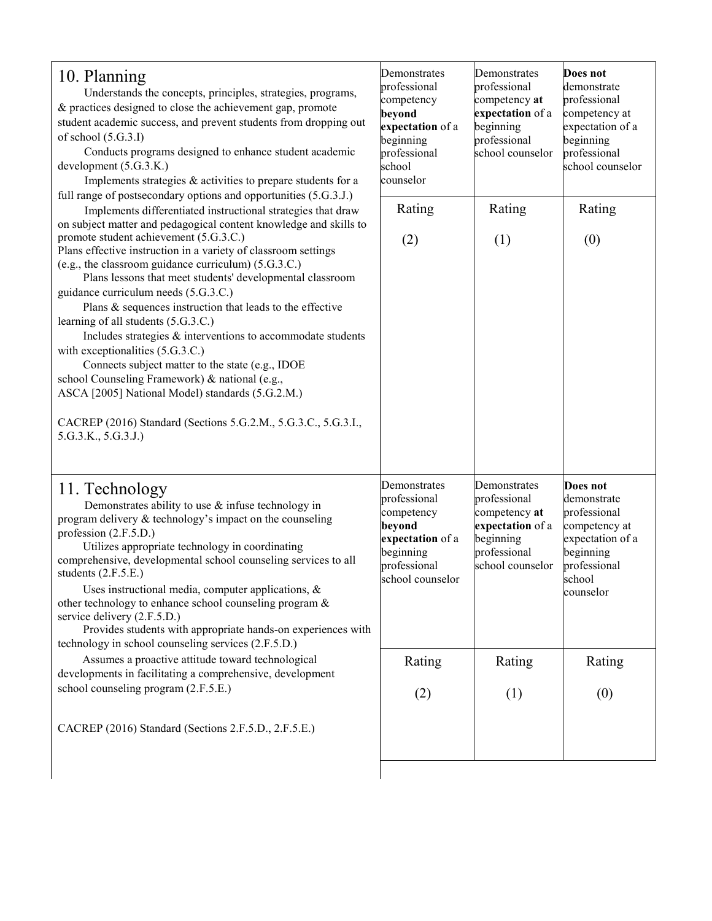| 10. Planning<br>Understands the concepts, principles, strategies, programs,<br>& practices designed to close the achievement gap, promote<br>student academic success, and prevent students from dropping out<br>of school $(5.G.3.I)$<br>Conducts programs designed to enhance student academic<br>development (5.G.3.K.)<br>Implements strategies & activities to prepare students for a                                                                                                                                                                                                                                                                                                                                      | Demonstrates<br>professional<br>competency<br>beyond<br>expectation of a<br>beginning<br>professional<br>school<br>counselor | Demonstrates<br>professional<br>competency at<br>expectation of a<br>beginning<br>professional<br>school counselor | Does not<br>demonstrate<br>professional<br>competency at<br>expectation of a<br>beginning<br>professional<br>school counselor    |
|---------------------------------------------------------------------------------------------------------------------------------------------------------------------------------------------------------------------------------------------------------------------------------------------------------------------------------------------------------------------------------------------------------------------------------------------------------------------------------------------------------------------------------------------------------------------------------------------------------------------------------------------------------------------------------------------------------------------------------|------------------------------------------------------------------------------------------------------------------------------|--------------------------------------------------------------------------------------------------------------------|----------------------------------------------------------------------------------------------------------------------------------|
| full range of postsecondary options and opportunities (5.G.3.J.)<br>Implements differentiated instructional strategies that draw<br>on subject matter and pedagogical content knowledge and skills to                                                                                                                                                                                                                                                                                                                                                                                                                                                                                                                           | Rating                                                                                                                       | Rating                                                                                                             | Rating                                                                                                                           |
| promote student achievement (5.G.3.C.)<br>Plans effective instruction in a variety of classroom settings<br>(e.g., the classroom guidance curriculum) (5.G.3.C.)<br>Plans lessons that meet students' developmental classroom<br>guidance curriculum needs (5.G.3.C.)<br>Plans & sequences instruction that leads to the effective<br>learning of all students (5.G.3.C.)<br>Includes strategies & interventions to accommodate students<br>with exceptionalities (5.G.3.C.)<br>Connects subject matter to the state (e.g., IDOE<br>school Counseling Framework) & national (e.g.,<br>ASCA [2005] National Model) standards (5.G.2.M.)<br>CACREP (2016) Standard (Sections 5.G.2.M., 5.G.3.C., 5.G.3.I.,<br>5.G.3.K., 5.G.3.J.) | (2)                                                                                                                          | (1)                                                                                                                | (0)                                                                                                                              |
| 11. Technology<br>Demonstrates ability to use $\&$ infuse technology in<br>program delivery & technology's impact on the counseling<br>profession (2.F.5.D.)<br>Utilizes appropriate technology in coordinating<br>comprehensive, developmental school counseling services to all<br>students $(2.F.5.E.)$<br>Uses instructional media, computer applications, $\&$<br>other technology to enhance school counseling program &<br>service delivery (2.F.5.D.)<br>Provides students with appropriate hands-on experiences with<br>technology in school counseling services (2.F.5.D.)                                                                                                                                            | Demonstrates<br>professional<br>competency<br>beyond<br>expectation of a<br>beginning<br>professional<br>school counselor    | Demonstrates<br>professional<br>competency at<br>expectation of a<br>beginning<br>professional<br>school counselor | Does not<br>demonstrate<br>professional<br>competency at<br>expectation of a<br>beginning<br>professional<br>school<br>counselor |
| Assumes a proactive attitude toward technological<br>developments in facilitating a comprehensive, development                                                                                                                                                                                                                                                                                                                                                                                                                                                                                                                                                                                                                  | Rating                                                                                                                       | Rating                                                                                                             | Rating                                                                                                                           |
| school counseling program (2.F.5.E.)                                                                                                                                                                                                                                                                                                                                                                                                                                                                                                                                                                                                                                                                                            | (2)                                                                                                                          | (1)                                                                                                                | (0)                                                                                                                              |
| CACREP (2016) Standard (Sections 2.F.5.D., 2.F.5.E.)                                                                                                                                                                                                                                                                                                                                                                                                                                                                                                                                                                                                                                                                            |                                                                                                                              |                                                                                                                    |                                                                                                                                  |
|                                                                                                                                                                                                                                                                                                                                                                                                                                                                                                                                                                                                                                                                                                                                 |                                                                                                                              |                                                                                                                    |                                                                                                                                  |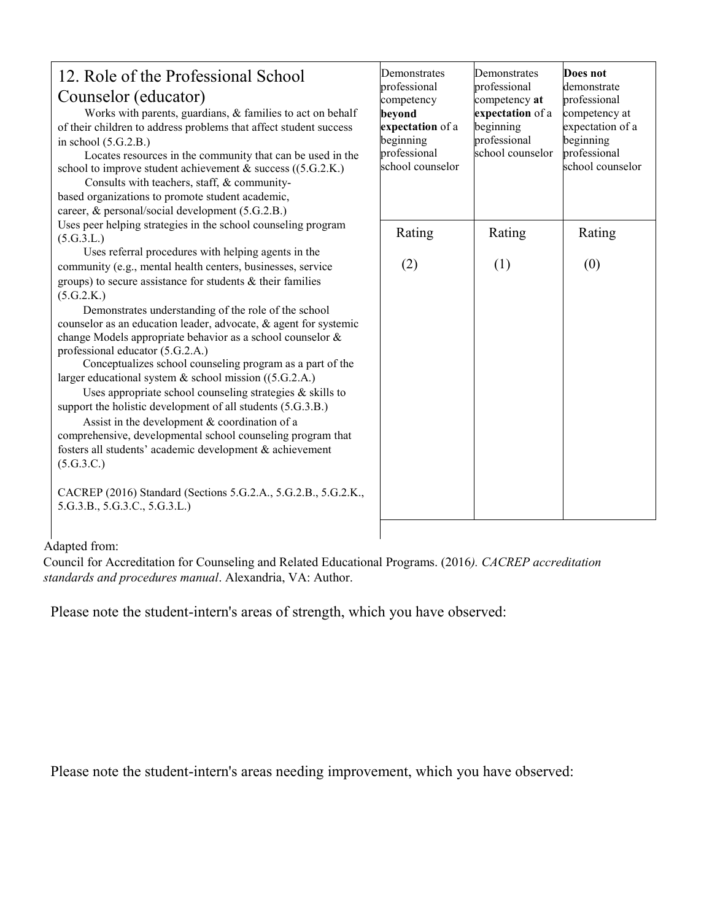| 12. Role of the Professional School<br>Counselor (educator)<br>Works with parents, guardians, & families to act on behalf<br>of their children to address problems that affect student success<br>in school $(5.G.2.B.)$                                                                                                                                                                                                                                                                                                                                                                                                                                                                                                                                                                                              | Demonstrates<br>professional<br>competency<br>beyond<br>expectation of a<br>beginning | Demonstrates<br>professional<br>competency at<br>expectation of a<br>beginning<br>professional | Does not<br>demonstrate<br>professional<br>competency at<br>expectation of a<br>beginning |
|-----------------------------------------------------------------------------------------------------------------------------------------------------------------------------------------------------------------------------------------------------------------------------------------------------------------------------------------------------------------------------------------------------------------------------------------------------------------------------------------------------------------------------------------------------------------------------------------------------------------------------------------------------------------------------------------------------------------------------------------------------------------------------------------------------------------------|---------------------------------------------------------------------------------------|------------------------------------------------------------------------------------------------|-------------------------------------------------------------------------------------------|
| Locates resources in the community that can be used in the<br>school to improve student achievement $\&$ success ((5.G.2.K.)<br>Consults with teachers, staff, & community-<br>based organizations to promote student academic,<br>career, & personal/social development (5.G.2.B.)                                                                                                                                                                                                                                                                                                                                                                                                                                                                                                                                   | professional<br>school counselor                                                      | school counselor                                                                               | professional<br>school counselor                                                          |
| Uses peer helping strategies in the school counseling program<br>(5.G.3.L.)<br>Uses referral procedures with helping agents in the                                                                                                                                                                                                                                                                                                                                                                                                                                                                                                                                                                                                                                                                                    | Rating                                                                                | Rating                                                                                         | Rating                                                                                    |
| community (e.g., mental health centers, businesses, service<br>groups) to secure assistance for students & their families<br>(5.G.2.K.)<br>Demonstrates understanding of the role of the school<br>counselor as an education leader, advocate, & agent for systemic<br>change Models appropriate behavior as a school counselor &<br>professional educator (5.G.2.A.)<br>Conceptualizes school counseling program as a part of the<br>larger educational system & school mission ((5.G.2.A.)<br>Uses appropriate school counseling strategies $\&$ skills to<br>support the holistic development of all students (5.G.3.B.)<br>Assist in the development & coordination of a<br>comprehensive, developmental school counseling program that<br>fosters all students' academic development & achievement<br>(5.G.3.C.) | (2)                                                                                   | (1)                                                                                            | (0)                                                                                       |
| CACREP (2016) Standard (Sections 5.G.2.A., 5.G.2.B., 5.G.2.K.,<br>5.G.3.B., 5.G.3.C., 5.G.3.L.)                                                                                                                                                                                                                                                                                                                                                                                                                                                                                                                                                                                                                                                                                                                       |                                                                                       |                                                                                                |                                                                                           |

#### Adapted from:

Council for Accreditation for Counseling and Related Educational Programs. (2016*). CACREP accreditation standards and procedures manual*. Alexandria, VA: Author.

Please note the student-intern's areas of strength, which you have observed:

Please note the student-intern's areas needing improvement, which you have observed: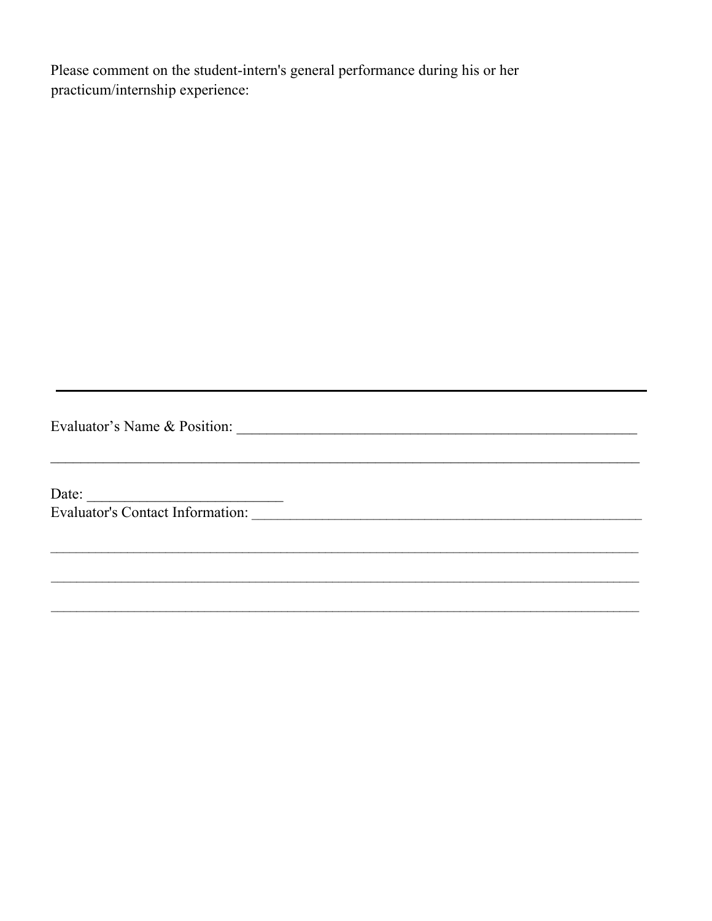Please comment on the student-intern's general performance during his or her practicum/internship experience:

<u> 1989 - Johann Stoff, amerikansk politiker (d. 1989)</u>

 $\overline{a}$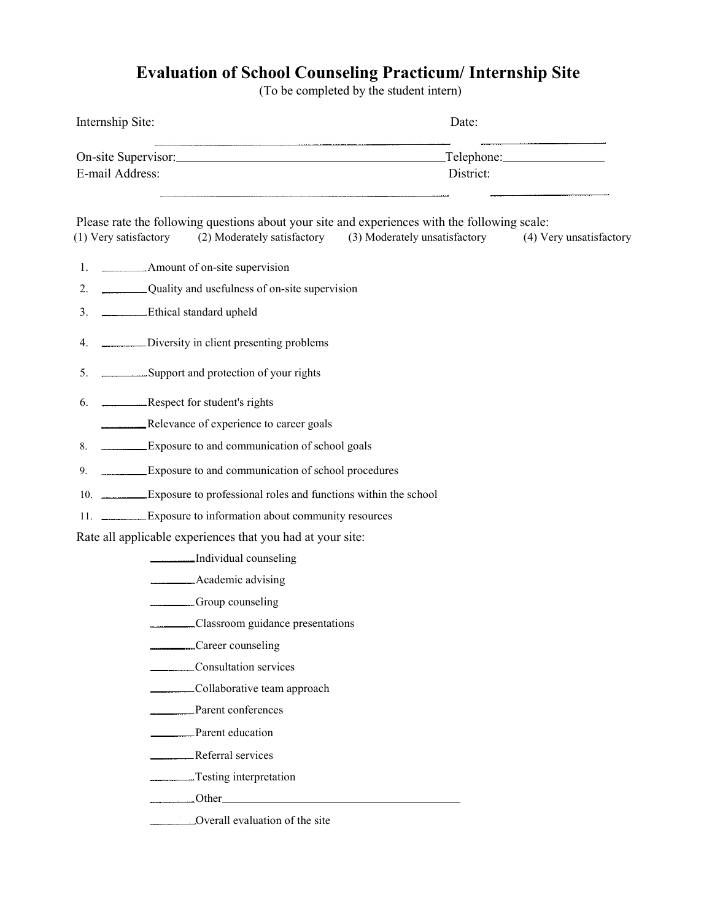# **Evaluation of School Counseling Practicum/ Internship Site**

(To be completed by the student intern)

| Internship Site:                                                                                                       | Date:                                                                             |  |
|------------------------------------------------------------------------------------------------------------------------|-----------------------------------------------------------------------------------|--|
| On-site Supervisor: Telephone: Telephone: Telephone:<br>E-mail Address:                                                | District:                                                                         |  |
| Please rate the following questions about your site and experiences with the following scale:<br>(1) Very satisfactory | (2) Moderately satisfactory (3) Moderately unsatisfactory (4) Very unsatisfactory |  |
|                                                                                                                        |                                                                                   |  |
| Quality and usefulness of on-site supervision<br>2.                                                                    |                                                                                   |  |
| Ethical standard upheld<br>3.                                                                                          |                                                                                   |  |
| Diversity in client presenting problems<br>4.                                                                          |                                                                                   |  |
| 5. Support and protection of your rights                                                                               |                                                                                   |  |
| 6. ______________Respect for student's rights                                                                          |                                                                                   |  |
|                                                                                                                        |                                                                                   |  |
| Exposure to and communication of school goals<br>8.                                                                    |                                                                                   |  |
| Exposure to and communication of school procedures<br>9.                                                               |                                                                                   |  |
| 10. Exposure to professional roles and functions within the school                                                     |                                                                                   |  |
| 11. Exposure to information about community resources                                                                  |                                                                                   |  |
| Rate all applicable experiences that you had at your site:                                                             |                                                                                   |  |
| Individual counseling                                                                                                  |                                                                                   |  |
| Academic advising                                                                                                      |                                                                                   |  |
| Group counseling                                                                                                       |                                                                                   |  |
| Classroom guidance presentations                                                                                       |                                                                                   |  |
| Career counseling                                                                                                      |                                                                                   |  |
| Consultation services                                                                                                  |                                                                                   |  |
| _________Collaborative team approach                                                                                   |                                                                                   |  |
| Parent conferences                                                                                                     |                                                                                   |  |
| Parent education                                                                                                       |                                                                                   |  |
| Referral services                                                                                                      |                                                                                   |  |
| Testing interpretation                                                                                                 |                                                                                   |  |
| <u>___________Other</u>                                                                                                |                                                                                   |  |
| Overall evaluation of the site                                                                                         |                                                                                   |  |